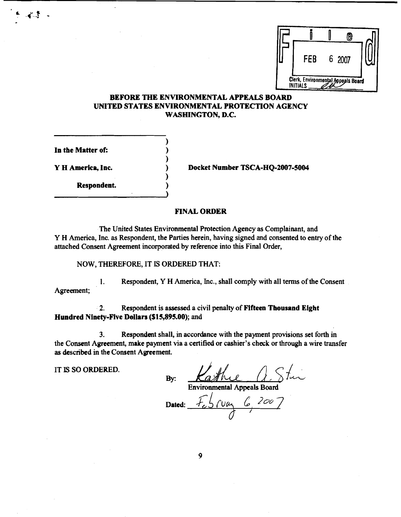

## **BEFORE THE ENVIRONMENTAL APPEALS BOARD UNITED STATES ENVIRONMENTAL PROTECTION AGENCY WASHINGTON, D.C.**

)

**1** 

)

In the Matter of:

**Respondent.** )

Y H America, Inc. **1 Constructs** 2007-5004

## **FINAL ORDER**

The United States Environmental Protection Agency **as** Complainant, and Y H America, Inc. as Respondent, the Parties herein, having signed and consented to entry of the attached Consent Agreement incorporated by reference into this Final Order,

NOW, THEREFORE, IT IS ORDERED THAT:

1. Respondent, Y H America, Inc., shall comply with all terms of the Consent Agreement;

**2.** Respondent is assessed a civil penalty of **Fifteen Thousand Eight Hundred Ninety-Five Dollars (\$15,89S.00);** and

By:

**3.** Respondent shall, in accordance with the payment provisions set forth in the Consent Agreement, make payment via a certified or cashier's check or through a wire transfer **as** described in the Consent Agreement.

IT **IS** SO ORDERED.

Environmental Appeals Board

 $5.00462007$ Dated: